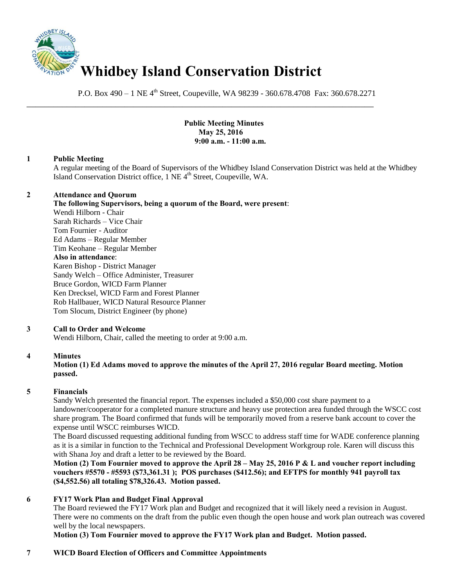

P.O. Box 490 – 1 NE 4<sup>th</sup> Street, Coupeville, WA 98239 - 360.678.4708 Fax: 360.678.2271

\_\_\_\_\_\_\_\_\_\_\_\_\_\_\_\_\_\_\_\_\_\_\_\_\_\_\_\_\_\_\_\_\_\_\_\_\_\_\_\_\_\_\_\_\_\_\_\_\_\_\_\_\_\_\_\_\_\_\_\_\_\_\_\_\_\_\_\_\_\_\_\_\_\_\_\_\_\_

 **Public Meeting Minutes May 25, 2016 9:00 a.m. - 11:00 a.m.** 

## **1 Public Meeting**

A regular meeting of the Board of Supervisors of the Whidbey Island Conservation District was held at the Whidbey Island Conservation District office, 1 NE 4<sup>th</sup> Street, Coupeville, WA.

# **2 Attendance and Quorum**

**The following Supervisors, being a quorum of the Board, were present**: Wendi Hilborn - Chair Sarah Richards – Vice Chair Tom Fournier - Auditor Ed Adams – Regular Member Tim Keohane – Regular Member **Also in attendance**: Karen Bishop - District Manager Sandy Welch – Office Administer, Treasurer Bruce Gordon, WICD Farm Planner Ken Drecksel, WICD Farm and Forest Planner Rob Hallbauer, WICD Natural Resource Planner Tom Slocum, District Engineer (by phone)

## **3 Call to Order and Welcome**

Wendi Hilborn, Chair, called the meeting to order at 9:00 a.m.

## **4 Minutes**

## **Motion (1) Ed Adams moved to approve the minutes of the April 27, 2016 regular Board meeting. Motion passed.**

## **5 Financials**

Sandy Welch presented the financial report. The expenses included a \$50,000 cost share payment to a landowner/cooperator for a completed manure structure and heavy use protection area funded through the WSCC cost share program. The Board confirmed that funds will be temporarily moved from a reserve bank account to cover the expense until WSCC reimburses WICD.

The Board discussed requesting additional funding from WSCC to address staff time for WADE conference planning as it is a similar in function to the Technical and Professional Development Workgroup role. Karen will discuss this with Shana Joy and draft a letter to be reviewed by the Board.

**Motion (2) Tom Fournier moved to approve the April 28 – May 25, 2016 P & L and voucher report including vouchers #5570 - #5593 (\$73,361.31 ); POS purchases (\$412.56); and EFTPS for monthly 941 payroll tax (\$4,552.56) all totaling \$78,326.43. Motion passed.** 

## **6 FY17 Work Plan and Budget Final Approval**

The Board reviewed the FY17 Work plan and Budget and recognized that it will likely need a revision in August. There were no comments on the draft from the public even though the open house and work plan outreach was covered well by the local newspapers.

**Motion (3) Tom Fournier moved to approve the FY17 Work plan and Budget. Motion passed.** 

## **7 WICD Board Election of Officers and Committee Appointments**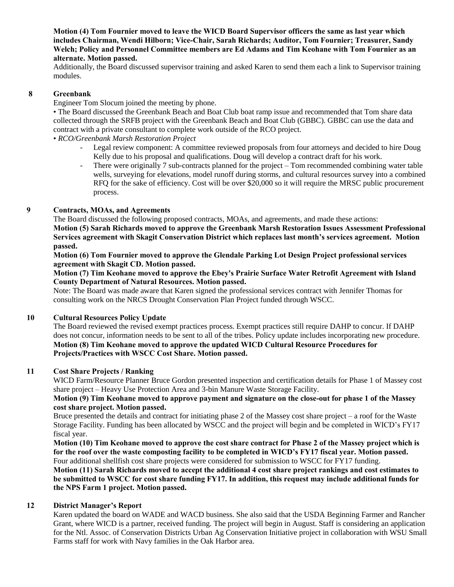**Motion (4) Tom Fournier moved to leave the WICD Board Supervisor officers the same as last year which includes Chairman, Wendi Hilborn; Vice-Chair, Sarah Richards; Auditor, Tom Fournier; Treasurer, Sandy Welch; Policy and Personnel Committee members are Ed Adams and Tim Keohane with Tom Fournier as an alternate. Motion passed.** 

Additionally, the Board discussed supervisor training and asked Karen to send them each a link to Supervisor training modules.

### **8 Greenbank**

Engineer Tom Slocum joined the meeting by phone.

• The Board discussed the Greenbank Beach and Boat Club boat ramp issue and recommended that Tom share data collected through the SRFB project with the Greenbank Beach and Boat Club (GBBC). GBBC can use the data and contract with a private consultant to complete work outside of the RCO project.

#### • *RCO/Greenbank Marsh Restoration Project*

- Legal review component: A committee reviewed proposals from four attorneys and decided to hire Doug Kelly due to his proposal and qualifications. Doug will develop a contract draft for his work.
- There were originally 7 sub-contracts planned for the project Tom recommended combining water table wells, surveying for elevations, model runoff during storms, and cultural resources survey into a combined RFQ for the sake of efficiency. Cost will be over \$20,000 so it will require the MRSC public procurement process.

#### **9 Contracts, MOAs, and Agreements**

The Board discussed the following proposed contracts, MOAs, and agreements, and made these actions: **Motion (5) Sarah Richards moved to approve the Greenbank Marsh Restoration Issues Assessment Professional Services agreement with Skagit Conservation District which replaces last month's services agreement. Motion passed.** 

**Motion (6) Tom Fournier moved to approve the Glendale Parking Lot Design Project professional services agreement with Skagit CD. Motion passed.** 

### **Motion (7) Tim Keohane moved to approve the Ebey's Prairie Surface Water Retrofit Agreement with Island County Department of Natural Resources. Motion passed.**

Note: The Board was made aware that Karen signed the professional services contract with Jennifer Thomas for consulting work on the NRCS Drought Conservation Plan Project funded through WSCC.

### **10 Cultural Resources Policy Update**

The Board reviewed the revised exempt practices process. Exempt practices still require DAHP to concur. If DAHP does not concur, information needs to be sent to all of the tribes. Policy update includes incorporating new procedure. **Motion (8) Tim Keohane moved to approve the updated WICD Cultural Resource Procedures for Projects/Practices with WSCC Cost Share. Motion passed.** 

## **11 Cost Share Projects / Ranking**

WICD Farm/Resource Planner Bruce Gordon presented inspection and certification details for Phase 1 of Massey cost share project – Heavy Use Protection Area and 3-bin Manure Waste Storage Facility.

### **Motion (9) Tim Keohane moved to approve payment and signature on the close-out for phase 1 of the Massey cost share project. Motion passed.**

Bruce presented the details and contract for initiating phase 2 of the Massey cost share project – a roof for the Waste Storage Facility. Funding has been allocated by WSCC and the project will begin and be completed in WICD's FY17 fiscal year.

**Motion (10) Tim Keohane moved to approve the cost share contract for Phase 2 of the Massey project which is for the roof over the waste composting facility to be completed in WICD's FY17 fiscal year. Motion passed.**  Four additional shellfish cost share projects were considered for submission to WSCC for FY17 funding.

**Motion (11) Sarah Richards moved to accept the additional 4 cost share project rankings and cost estimates to be submitted to WSCC for cost share funding FY17. In addition, this request may include additional funds for the NPS Farm 1 project. Motion passed.** 

#### **12 District Manager's Report**

Karen updated the board on WADE and WACD business. She also said that the USDA Beginning Farmer and Rancher Grant, where WICD is a partner, received funding. The project will begin in August. Staff is considering an application for the Ntl. Assoc. of Conservation Districts Urban Ag Conservation Initiative project in collaboration with WSU Small Farms staff for work with Navy families in the Oak Harbor area.